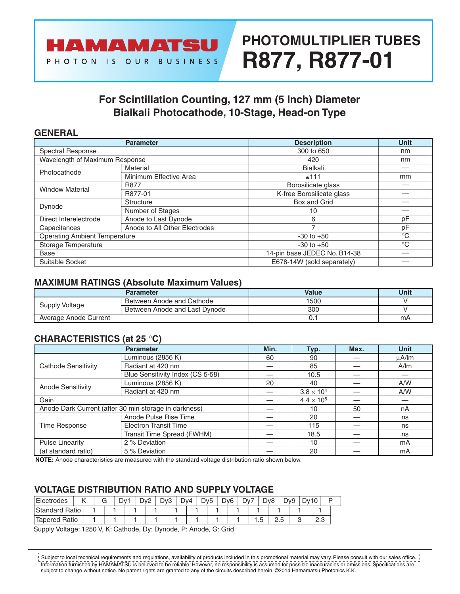

# **PHOTOMULTIPLIER TUBES R877, R877-01**

### **For Scintillation Counting, 127 mm (5 Inch) Diameter Bialkali Photocathode, 10-Stage, Head-on Type**

### **GENERAL**

|                                      | <b>Parameter</b>              | <b>Description</b>           | <b>Unit</b>  |
|--------------------------------------|-------------------------------|------------------------------|--------------|
| Spectral Response                    |                               | 300 to 650                   | nm           |
| Wavelength of Maximum Response       |                               | 420                          | nm           |
| Photocathode                         | Material                      | <b>Bialkali</b>              |              |
|                                      | Minimum Effective Area        | $\phi$ 111                   | mm           |
| <b>Window Material</b>               | <b>R877</b>                   | Borosilicate glass           |              |
|                                      | R877-01                       | K-free Borosilicate glass    |              |
| Dynode                               | <b>Structure</b>              | Box and Grid                 |              |
|                                      | Number of Stages              | 10                           |              |
| Direct Interelectrode                | Anode to Last Dynode          | 6                            | pF           |
| Capacitances                         | Anode to All Other Electrodes |                              | pF           |
| <b>Operating Ambient Temperature</b> |                               | $-30$ to $+50$               | $^{\circ}C$  |
| Storage Temperature                  |                               | $-30$ to $+50$               | $^{\circ}$ C |
| Base                                 |                               | 14-pin base JEDEC No. B14-38 |              |
| Suitable Socket                      |                               | E678-14W (sold separately)   |              |

### **MAXIMUM RATINGS (Absolute Maximum Values)**

|                       | Parameter                     | Value | Unit |
|-----------------------|-------------------------------|-------|------|
| Supply Voltage        | Between Anode and Cathode     | 1500  |      |
|                       | Between Anode and Last Dynode | 300   |      |
| Average Anode Current |                               | U.    | mA   |

### **CHARACTERISTICS (at 25** °**C)**

|                                                       | <b>Parameter</b>                 | Min. | Typ.                | Max. | <b>Unit</b> |  |
|-------------------------------------------------------|----------------------------------|------|---------------------|------|-------------|--|
| <b>Cathode Sensitivity</b>                            | Luminous (2856 K)                | 60   | 90                  |      | uA/lm       |  |
|                                                       | Radiant at 420 nm                |      | 85                  |      | A/m         |  |
|                                                       | Blue Sensitivity Index (CS 5-58) |      | 10.5                |      |             |  |
| <b>Anode Sensitivity</b>                              | Luminous (2856 K)                | 20   | 40                  |      | A/W         |  |
|                                                       | Radiant at 420 nm                |      | $3.8 \times 10^{4}$ |      | A/W         |  |
| Gain                                                  |                                  |      | $4.4 \times 10^{5}$ |      |             |  |
| Anode Dark Current (after 30 min storage in darkness) |                                  | 10   | 50                  | nA   |             |  |
| Time Response                                         | Anode Pulse Rise Time            |      | 20                  |      | ns          |  |
|                                                       | <b>Electron Transit Time</b>     |      | 115                 |      | ns          |  |
|                                                       | Transit Time Spread (FWHM)       |      | 18.5                |      | ns          |  |
| <b>Pulse Linearity</b>                                | 2 % Deviation                    |      | 10                  |      | mA          |  |
| (at standard ratio)<br>5 % Deviation                  |                                  |      | 20                  |      | mA          |  |

**NOTE:** Anode characteristics are measured with the standard voltage distribution ratio shown below.

### **VOLTAGE DISTRIBUTION RATIO AND SUPPLY VOLTAGE**

| Electrodes            |  | G | Dv1 | Dv <sub>2</sub> | D <sub>v</sub> 3 | Dv4 | D <sub>v</sub> <sub>5</sub> | D <sub>v</sub> 6 | Dv7 |         | D <sub>v</sub> 8 | D <sub>v9</sub> | Dv |            |  |
|-----------------------|--|---|-----|-----------------|------------------|-----|-----------------------------|------------------|-----|---------|------------------|-----------------|----|------------|--|
| <b>Standard Ratio</b> |  |   |     |                 |                  |     |                             |                  |     |         |                  |                 |    |            |  |
| <b>Tapered Ratio</b>  |  |   |     |                 |                  |     |                             |                  |     | ∽<br>ں. | ں ۔              |                 |    | ה ה<br>ں ۔ |  |

Supply Voltage: 1250 V, K: Cathode, Dy: Dynode, P: Anode, G: Grid

Information furnished by HAMAMATSU is believed to be reliable. However, no responsibility is assumed for possible inaccuracies or omissions. Specifications are subject to change without notice. No patent rights are granted to any of the circuits described herein. ©2014 Hamamatsu Photonics K.K.  $^{\prime}$  Subject to local technical requirements and regulations, availability of products included in this promotional material may vary. Please consult with our sales office.  $^{\prime}$